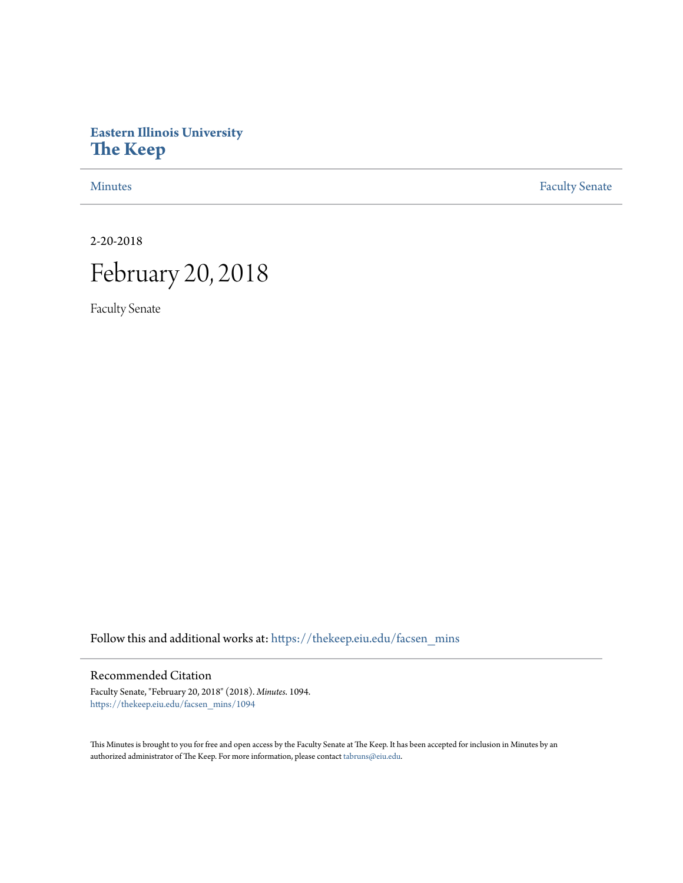# **Eastern Illinois University [The Keep](https://thekeep.eiu.edu?utm_source=thekeep.eiu.edu%2Ffacsen_mins%2F1094&utm_medium=PDF&utm_campaign=PDFCoverPages)**

[Minutes](https://thekeep.eiu.edu/facsen_mins?utm_source=thekeep.eiu.edu%2Ffacsen_mins%2F1094&utm_medium=PDF&utm_campaign=PDFCoverPages) **[Faculty Senate](https://thekeep.eiu.edu/fac_senate?utm_source=thekeep.eiu.edu%2Ffacsen_mins%2F1094&utm_medium=PDF&utm_campaign=PDFCoverPages)** 

2-20-2018

# February 20, 2018

Faculty Senate

Follow this and additional works at: [https://thekeep.eiu.edu/facsen\\_mins](https://thekeep.eiu.edu/facsen_mins?utm_source=thekeep.eiu.edu%2Ffacsen_mins%2F1094&utm_medium=PDF&utm_campaign=PDFCoverPages)

# Recommended Citation

Faculty Senate, "February 20, 2018" (2018). *Minutes*. 1094. [https://thekeep.eiu.edu/facsen\\_mins/1094](https://thekeep.eiu.edu/facsen_mins/1094?utm_source=thekeep.eiu.edu%2Ffacsen_mins%2F1094&utm_medium=PDF&utm_campaign=PDFCoverPages)

This Minutes is brought to you for free and open access by the Faculty Senate at The Keep. It has been accepted for inclusion in Minutes by an authorized administrator of The Keep. For more information, please contact [tabruns@eiu.edu](mailto:tabruns@eiu.edu).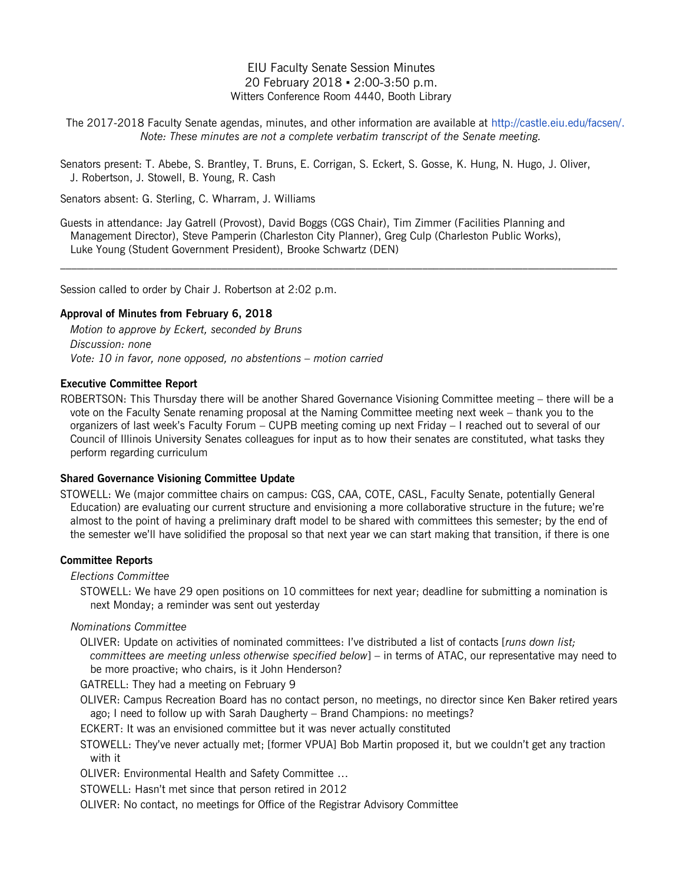EIU Faculty Senate Session Minutes 20 February 2018 ▪ 2:00-3:50 p.m. Witters Conference Room 4440, Booth Library

The 2017-2018 Faculty Senate agendas, minutes, and other information are available at [http://castle.eiu.edu/facsen/.](http://castle.eiu.edu/facsen/) *Note: These minutes are not a complete verbatim transcript of the Senate meeting.*

Senators present: T. Abebe, S. Brantley, T. Bruns, E. Corrigan, S. Eckert, S. Gosse, K. Hung, N. Hugo, J. Oliver, J. Robertson, J. Stowell, B. Young, R. Cash

Senators absent: G. Sterling, C. Wharram, J. Williams

Guests in attendance: Jay Gatrell (Provost), David Boggs (CGS Chair), Tim Zimmer (Facilities Planning and Management Director), Steve Pamperin (Charleston City Planner), Greg Culp (Charleston Public Works), Luke Young (Student Government President), Brooke Schwartz (DEN)

 $\_$  , and the state of the state of the state of the state of the state of the state of the state of the state of the state of the state of the state of the state of the state of the state of the state of the state of the

Session called to order by Chair J. Robertson at 2:02 p.m.

#### **Approval of Minutes from February 6, 2018**

*Motion to approve by Eckert, seconded by Bruns Discussion: none Vote: 10 in favor, none opposed, no abstentions – motion carried*

#### **Executive Committee Report**

ROBERTSON: This Thursday there will be another Shared Governance Visioning Committee meeting – there will be a vote on the Faculty Senate renaming proposal at the Naming Committee meeting next week – thank you to the organizers of last week's Faculty Forum – CUPB meeting coming up next Friday – I reached out to several of our Council of Illinois University Senates colleagues for input as to how their senates are constituted, what tasks they perform regarding curriculum

#### **Shared Governance Visioning Committee Update**

STOWELL: We (major committee chairs on campus: CGS, CAA, COTE, CASL, Faculty Senate, potentially General Education) are evaluating our current structure and envisioning a more collaborative structure in the future; we're almost to the point of having a preliminary draft model to be shared with committees this semester; by the end of the semester we'll have solidified the proposal so that next year we can start making that transition, if there is one

#### **Committee Reports**

*Elections Committee*

STOWELL: We have 29 open positions on 10 committees for next year; deadline for submitting a nomination is next Monday; a reminder was sent out yesterday

#### *Nominations Committee*

- OLIVER: Update on activities of nominated committees: I've distributed a list of contacts [*runs down list; committees are meeting unless otherwise specified below*] – in terms of ATAC, our representative may need to be more proactive; who chairs, is it John Henderson?
- GATRELL: They had a meeting on February 9
- OLIVER: Campus Recreation Board has no contact person, no meetings, no director since Ken Baker retired years ago; I need to follow up with Sarah Daugherty – Brand Champions: no meetings?
- ECKERT: It was an envisioned committee but it was never actually constituted
- STOWELL: They've never actually met; [former VPUA] Bob Martin proposed it, but we couldn't get any traction with it

OLIVER: Environmental Health and Safety Committee …

- STOWELL: Hasn't met since that person retired in 2012
- OLIVER: No contact, no meetings for Office of the Registrar Advisory Committee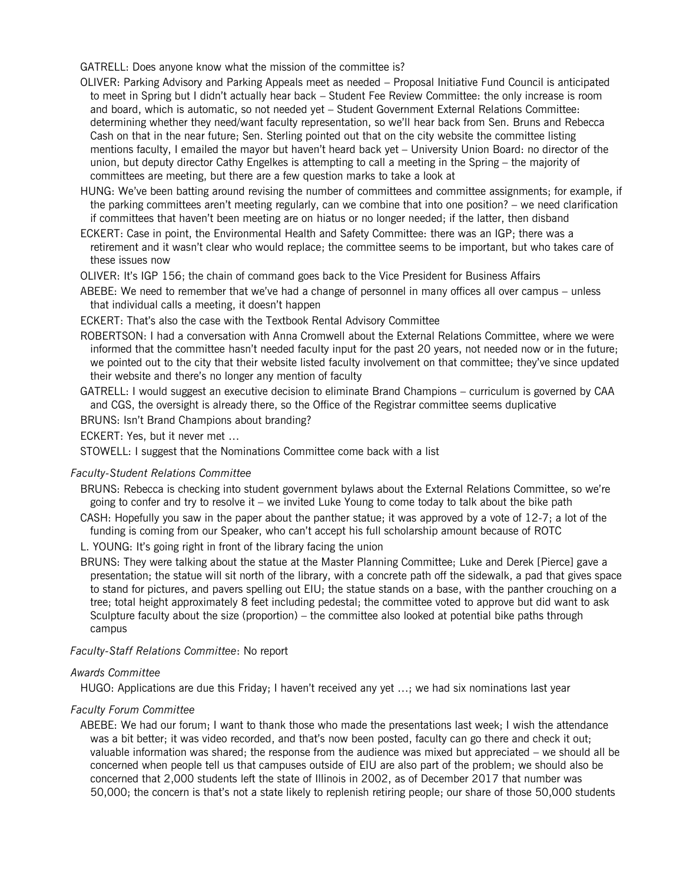GATRELL: Does anyone know what the mission of the committee is?

- OLIVER: Parking Advisory and Parking Appeals meet as needed Proposal Initiative Fund Council is anticipated to meet in Spring but I didn't actually hear back – Student Fee Review Committee: the only increase is room and board, which is automatic, so not needed yet – Student Government External Relations Committee: determining whether they need/want faculty representation, so we'll hear back from Sen. Bruns and Rebecca Cash on that in the near future; Sen. Sterling pointed out that on the city website the committee listing mentions faculty, I emailed the mayor but haven't heard back yet – University Union Board: no director of the union, but deputy director Cathy Engelkes is attempting to call a meeting in the Spring – the majority of committees are meeting, but there are a few question marks to take a look at
- HUNG: We've been batting around revising the number of committees and committee assignments; for example, if the parking committees aren't meeting regularly, can we combine that into one position? – we need clarification if committees that haven't been meeting are on hiatus or no longer needed; if the latter, then disband
- ECKERT: Case in point, the Environmental Health and Safety Committee: there was an IGP; there was a retirement and it wasn't clear who would replace; the committee seems to be important, but who takes care of these issues now
- OLIVER: It's IGP 156; the chain of command goes back to the Vice President for Business Affairs
- ABEBE: We need to remember that we've had a change of personnel in many offices all over campus unless that individual calls a meeting, it doesn't happen
- ECKERT: That's also the case with the Textbook Rental Advisory Committee
- ROBERTSON: I had a conversation with Anna Cromwell about the External Relations Committee, where we were informed that the committee hasn't needed faculty input for the past 20 years, not needed now or in the future; we pointed out to the city that their website listed faculty involvement on that committee; they've since updated their website and there's no longer any mention of faculty
- GATRELL: I would suggest an executive decision to eliminate Brand Champions curriculum is governed by CAA and CGS, the oversight is already there, so the Office of the Registrar committee seems duplicative

BRUNS: Isn't Brand Champions about branding?

ECKERT: Yes, but it never met …

STOWELL: I suggest that the Nominations Committee come back with a list

# *Faculty-Student Relations Committee*

- BRUNS: Rebecca is checking into student government bylaws about the External Relations Committee, so we're going to confer and try to resolve it – we invited Luke Young to come today to talk about the bike path
- CASH: Hopefully you saw in the paper about the panther statue; it was approved by a vote of 12-7; a lot of the funding is coming from our Speaker, who can't accept his full scholarship amount because of ROTC

L. YOUNG: It's going right in front of the library facing the union

BRUNS: They were talking about the statue at the Master Planning Committee; Luke and Derek [Pierce] gave a presentation; the statue will sit north of the library, with a concrete path off the sidewalk, a pad that gives space to stand for pictures, and pavers spelling out EIU; the statue stands on a base, with the panther crouching on a tree; total height approximately 8 feet including pedestal; the committee voted to approve but did want to ask Sculpture faculty about the size (proportion) – the committee also looked at potential bike paths through campus

# *Faculty-Staff Relations Committee*: No report

# *Awards Committee*

HUGO: Applications are due this Friday; I haven't received any yet …; we had six nominations last year

# *Faculty Forum Committee*

ABEBE: We had our forum; I want to thank those who made the presentations last week; I wish the attendance was a bit better; it was video recorded, and that's now been posted, faculty can go there and check it out; valuable information was shared; the response from the audience was mixed but appreciated – we should all be concerned when people tell us that campuses outside of EIU are also part of the problem; we should also be concerned that 2,000 students left the state of Illinois in 2002, as of December 2017 that number was 50,000; the concern is that's not a state likely to replenish retiring people; our share of those 50,000 students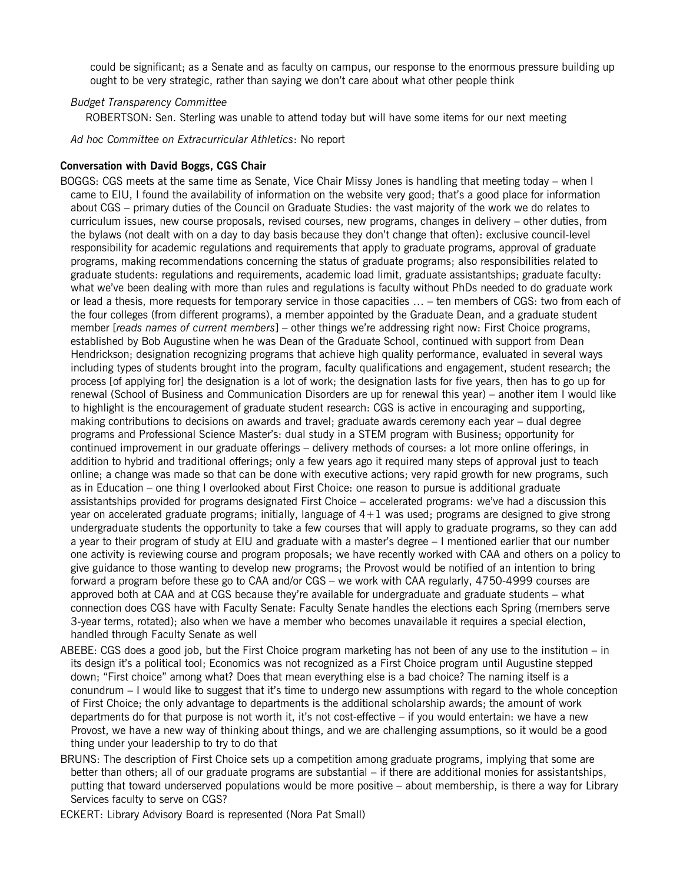could be significant; as a Senate and as faculty on campus, our response to the enormous pressure building up ought to be very strategic, rather than saying we don't care about what other people think

#### *Budget Transparency Committee*

ROBERTSON: Sen. Sterling was unable to attend today but will have some items for our next meeting

*Ad hoc Committee on Extracurricular Athletics*: No report

#### **Conversation with David Boggs, CGS Chair**

BOGGS: CGS meets at the same time as Senate, Vice Chair Missy Jones is handling that meeting today – when I came to EIU, I found the availability of information on the website very good; that's a good place for information about CGS – primary duties of the Council on Graduate Studies: the vast majority of the work we do relates to curriculum issues, new course proposals, revised courses, new programs, changes in delivery – other duties, from the bylaws (not dealt with on a day to day basis because they don't change that often): exclusive council-level responsibility for academic regulations and requirements that apply to graduate programs, approval of graduate programs, making recommendations concerning the status of graduate programs; also responsibilities related to graduate students: regulations and requirements, academic load limit, graduate assistantships; graduate faculty: what we've been dealing with more than rules and regulations is faculty without PhDs needed to do graduate work or lead a thesis, more requests for temporary service in those capacities … – ten members of CGS: two from each of the four colleges (from different programs), a member appointed by the Graduate Dean, and a graduate student member [*reads names of current members*] – other things we're addressing right now: First Choice programs, established by Bob Augustine when he was Dean of the Graduate School, continued with support from Dean Hendrickson; designation recognizing programs that achieve high quality performance, evaluated in several ways including types of students brought into the program, faculty qualifications and engagement, student research; the process [of applying for] the designation is a lot of work; the designation lasts for five years, then has to go up for renewal (School of Business and Communication Disorders are up for renewal this year) – another item I would like to highlight is the encouragement of graduate student research: CGS is active in encouraging and supporting, making contributions to decisions on awards and travel; graduate awards ceremony each year – dual degree programs and Professional Science Master's: dual study in a STEM program with Business; opportunity for continued improvement in our graduate offerings – delivery methods of courses: a lot more online offerings, in addition to hybrid and traditional offerings; only a few years ago it required many steps of approval just to teach online; a change was made so that can be done with executive actions; very rapid growth for new programs, such as in Education – one thing I overlooked about First Choice: one reason to pursue is additional graduate assistantships provided for programs designated First Choice – accelerated programs: we've had a discussion this year on accelerated graduate programs; initially, language of 4+1 was used; programs are designed to give strong undergraduate students the opportunity to take a few courses that will apply to graduate programs, so they can add a year to their program of study at EIU and graduate with a master's degree – I mentioned earlier that our number one activity is reviewing course and program proposals; we have recently worked with CAA and others on a policy to give guidance to those wanting to develop new programs; the Provost would be notified of an intention to bring forward a program before these go to CAA and/or CGS – we work with CAA regularly, 4750-4999 courses are approved both at CAA and at CGS because they're available for undergraduate and graduate students – what connection does CGS have with Faculty Senate: Faculty Senate handles the elections each Spring (members serve 3-year terms, rotated); also when we have a member who becomes unavailable it requires a special election, handled through Faculty Senate as well

- ABEBE: CGS does a good job, but the First Choice program marketing has not been of any use to the institution in its design it's a political tool; Economics was not recognized as a First Choice program until Augustine stepped down; "First choice" among what? Does that mean everything else is a bad choice? The naming itself is a conundrum – I would like to suggest that it's time to undergo new assumptions with regard to the whole conception of First Choice; the only advantage to departments is the additional scholarship awards; the amount of work departments do for that purpose is not worth it, it's not cost-effective – if you would entertain: we have a new Provost, we have a new way of thinking about things, and we are challenging assumptions, so it would be a good thing under your leadership to try to do that
- BRUNS: The description of First Choice sets up a competition among graduate programs, implying that some are better than others; all of our graduate programs are substantial – if there are additional monies for assistantships, putting that toward underserved populations would be more positive – about membership, is there a way for Library Services faculty to serve on CGS?

ECKERT: Library Advisory Board is represented (Nora Pat Small)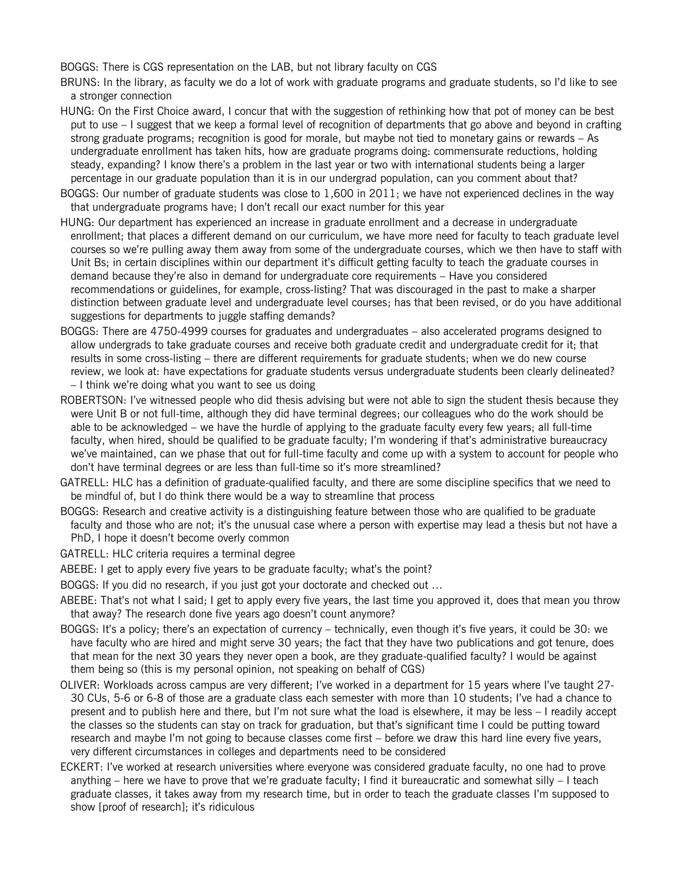BOGGS: There is CGS representation on the LAB, but not library faculty on CGS

- BRUNS: In the library, as faculty we do a lot of work with graduate programs and graduate students, so I'd like to see a stronger connection
- HUNG: On the First Choice award, I concur that with the suggestion of rethinking how that pot of money can be best put to use – I suggest that we keep a formal level of recognition of departments that go above and beyond in crafting strong graduate programs; recognition is good for morale, but maybe not tied to monetary gains or rewards – As undergraduate enrollment has taken hits, how are graduate programs doing: commensurate reductions, holding steady, expanding? I know there's a problem in the last year or two with international students being a larger percentage in our graduate population than it is in our undergrad population, can you comment about that?
- BOGGS: Our number of graduate students was close to 1,600 in 2011; we have not experienced declines in the way that undergraduate programs have; I don't recall our exact number for this year
- HUNG: Our department has experienced an increase in graduate enrollment and a decrease in undergraduate enrollment; that places a different demand on our curriculum, we have more need for faculty to teach graduate level courses so we're pulling away them away from some of the undergraduate courses, which we then have to staff with Unit Bs; in certain disciplines within our department it's difficult getting faculty to teach the graduate courses in demand because they're also in demand for undergraduate core requirements – Have you considered recommendations or guidelines, for example, cross-listing? That was discouraged in the past to make a sharper distinction between graduate level and undergraduate level courses; has that been revised, or do you have additional suggestions for departments to juggle staffing demands?
- BOGGS: There are 4750-4999 courses for graduates and undergraduates also accelerated programs designed to allow undergrads to take graduate courses and receive both graduate credit and undergraduate credit for it; that results in some cross-listing – there are different requirements for graduate students; when we do new course review, we look at: have expectations for graduate students versus undergraduate students been clearly delineated? – I think we're doing what you want to see us doing
- ROBERTSON: I've witnessed people who did thesis advising but were not able to sign the student thesis because they were Unit B or not full-time, although they did have terminal degrees; our colleagues who do the work should be able to be acknowledged – we have the hurdle of applying to the graduate faculty every few years; all full-time faculty, when hired, should be qualified to be graduate faculty; I'm wondering if that's administrative bureaucracy we've maintained, can we phase that out for full-time faculty and come up with a system to account for people who don't have terminal degrees or are less than full-time so it's more streamlined?
- GATRELL: HLC has a definition of graduate-qualified faculty, and there are some discipline specifics that we need to be mindful of, but I do think there would be a way to streamline that process
- BOGGS: Research and creative activity is a distinguishing feature between those who are qualified to be graduate faculty and those who are not; it's the unusual case where a person with expertise may lead a thesis but not have a PhD, I hope it doesn't become overly common
- GATRELL: HLC criteria requires a terminal degree
- ABEBE: I get to apply every five years to be graduate faculty; what's the point?
- BOGGS: If you did no research, if you just got your doctorate and checked out …
- ABEBE: That's not what I said; I get to apply every five years, the last time you approved it, does that mean you throw that away? The research done five years ago doesn't count anymore?
- BOGGS: It's a policy; there's an expectation of currency technically, even though it's five years, it could be 30: we have faculty who are hired and might serve 30 years; the fact that they have two publications and got tenure, does that mean for the next 30 years they never open a book, are they graduate-qualified faculty? I would be against them being so (this is my personal opinion, not speaking on behalf of CGS)
- OLIVER: Workloads across campus are very different; I've worked in a department for 15 years where I've taught 27- 30 CUs, 5-6 or 6-8 of those are a graduate class each semester with more than 10 students; I've had a chance to present and to publish here and there, but I'm not sure what the load is elsewhere, it may be less – I readily accept the classes so the students can stay on track for graduation, but that's significant time I could be putting toward research and maybe I'm not going to because classes come first – before we draw this hard line every five years, very different circumstances in colleges and departments need to be considered
- ECKERT: I've worked at research universities where everyone was considered graduate faculty, no one had to prove anything – here we have to prove that we're graduate faculty; I find it bureaucratic and somewhat silly – I teach graduate classes, it takes away from my research time, but in order to teach the graduate classes I'm supposed to show [proof of research]; it's ridiculous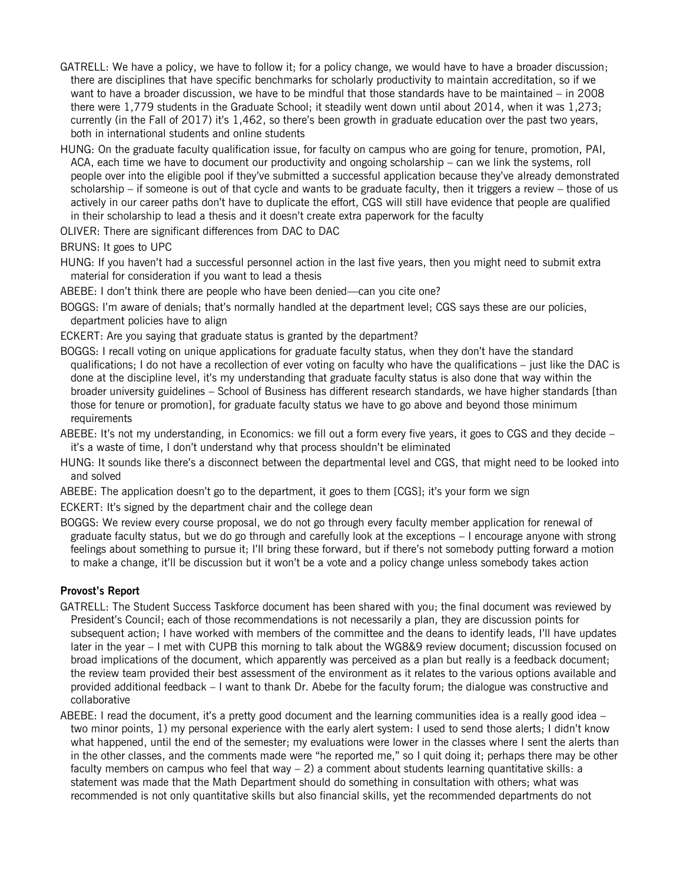- GATRELL: We have a policy, we have to follow it; for a policy change, we would have to have a broader discussion; there are disciplines that have specific benchmarks for scholarly productivity to maintain accreditation, so if we want to have a broader discussion, we have to be mindful that those standards have to be maintained – in 2008 there were 1,779 students in the Graduate School; it steadily went down until about 2014, when it was 1,273; currently (in the Fall of 2017) it's 1,462, so there's been growth in graduate education over the past two years, both in international students and online students
- HUNG: On the graduate faculty qualification issue, for faculty on campus who are going for tenure, promotion, PAI, ACA, each time we have to document our productivity and ongoing scholarship – can we link the systems, roll people over into the eligible pool if they've submitted a successful application because they've already demonstrated scholarship – if someone is out of that cycle and wants to be graduate faculty, then it triggers a review – those of us actively in our career paths don't have to duplicate the effort, CGS will still have evidence that people are qualified in their scholarship to lead a thesis and it doesn't create extra paperwork for the faculty
- OLIVER: There are significant differences from DAC to DAC
- BRUNS: It goes to UPC
- HUNG: If you haven't had a successful personnel action in the last five years, then you might need to submit extra material for consideration if you want to lead a thesis
- ABEBE: I don't think there are people who have been denied—can you cite one?
- BOGGS: I'm aware of denials; that's normally handled at the department level; CGS says these are our policies, department policies have to align
- ECKERT: Are you saying that graduate status is granted by the department?
- BOGGS: I recall voting on unique applications for graduate faculty status, when they don't have the standard qualifications; I do not have a recollection of ever voting on faculty who have the qualifications – just like the DAC is done at the discipline level, it's my understanding that graduate faculty status is also done that way within the broader university guidelines – School of Business has different research standards, we have higher standards [than those for tenure or promotion], for graduate faculty status we have to go above and beyond those minimum requirements
- ABEBE: It's not my understanding, in Economics: we fill out a form every five years, it goes to CGS and they decide it's a waste of time, I don't understand why that process shouldn't be eliminated
- HUNG: It sounds like there's a disconnect between the departmental level and CGS, that might need to be looked into and solved
- ABEBE: The application doesn't go to the department, it goes to them [CGS]; it's your form we sign

ECKERT: It's signed by the department chair and the college dean

BOGGS: We review every course proposal, we do not go through every faculty member application for renewal of graduate faculty status, but we do go through and carefully look at the exceptions – I encourage anyone with strong feelings about something to pursue it; I'll bring these forward, but if there's not somebody putting forward a motion to make a change, it'll be discussion but it won't be a vote and a policy change unless somebody takes action

# **Provost's Report**

- GATRELL: The Student Success Taskforce document has been shared with you; the final document was reviewed by President's Council; each of those recommendations is not necessarily a plan, they are discussion points for subsequent action; I have worked with members of the committee and the deans to identify leads, I'll have updates later in the year – I met with CUPB this morning to talk about the WG8&9 review document; discussion focused on broad implications of the document, which apparently was perceived as a plan but really is a feedback document; the review team provided their best assessment of the environment as it relates to the various options available and provided additional feedback – I want to thank Dr. Abebe for the faculty forum; the dialogue was constructive and collaborative
- ABEBE: I read the document, it's a pretty good document and the learning communities idea is a really good idea two minor points, 1) my personal experience with the early alert system: I used to send those alerts; I didn't know what happened, until the end of the semester; my evaluations were lower in the classes where I sent the alerts than in the other classes, and the comments made were "he reported me," so I quit doing it; perhaps there may be other faculty members on campus who feel that way – 2) a comment about students learning quantitative skills: a statement was made that the Math Department should do something in consultation with others; what was recommended is not only quantitative skills but also financial skills, yet the recommended departments do not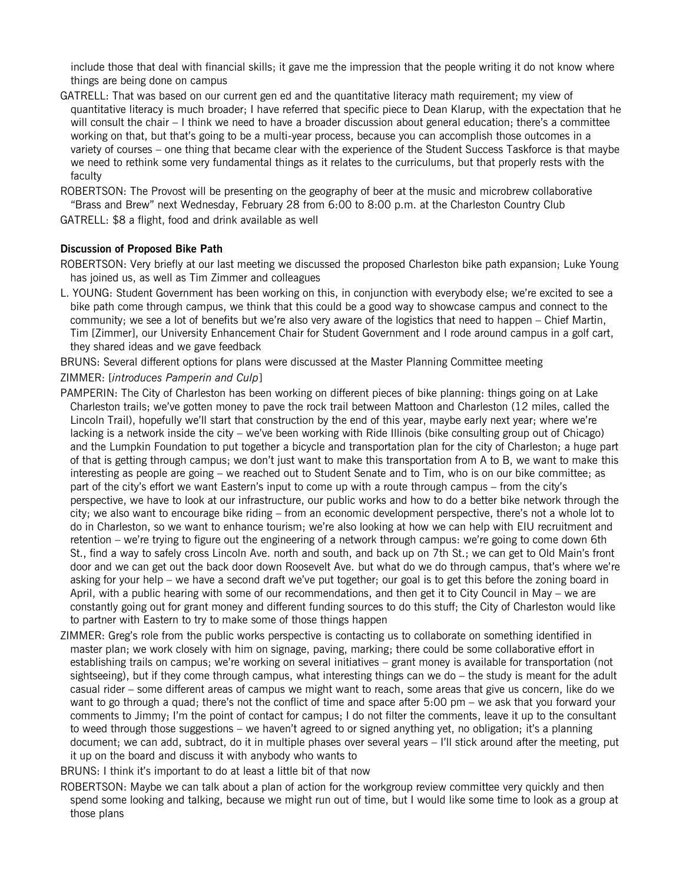include those that deal with financial skills; it gave me the impression that the people writing it do not know where things are being done on campus

GATRELL: That was based on our current gen ed and the quantitative literacy math requirement; my view of quantitative literacy is much broader; I have referred that specific piece to Dean Klarup, with the expectation that he will consult the chair – I think we need to have a broader discussion about general education; there's a committee working on that, but that's going to be a multi-year process, because you can accomplish those outcomes in a variety of courses – one thing that became clear with the experience of the Student Success Taskforce is that maybe we need to rethink some very fundamental things as it relates to the curriculums, but that properly rests with the faculty

ROBERTSON: The Provost will be presenting on the geography of beer at the music and microbrew collaborative "Brass and Brew" next Wednesday, February 28 from 6:00 to 8:00 p.m. at the Charleston Country Club

GATRELL: \$8 a flight, food and drink available as well

# **Discussion of Proposed Bike Path**

ROBERTSON: Very briefly at our last meeting we discussed the proposed Charleston bike path expansion; Luke Young has joined us, as well as Tim Zimmer and colleagues

L. YOUNG: Student Government has been working on this, in conjunction with everybody else; we're excited to see a bike path come through campus, we think that this could be a good way to showcase campus and connect to the community; we see a lot of benefits but we're also very aware of the logistics that need to happen – Chief Martin, Tim [Zimmer], our University Enhancement Chair for Student Government and I rode around campus in a golf cart, they shared ideas and we gave feedback

BRUNS: Several different options for plans were discussed at the Master Planning Committee meeting

#### ZIMMER: [*introduces Pamperin and Culp*]

- PAMPERIN: The City of Charleston has been working on different pieces of bike planning: things going on at Lake Charleston trails; we've gotten money to pave the rock trail between Mattoon and Charleston (12 miles, called the Lincoln Trail), hopefully we'll start that construction by the end of this year, maybe early next year; where we're lacking is a network inside the city – we've been working with Ride Illinois (bike consulting group out of Chicago) and the Lumpkin Foundation to put together a bicycle and transportation plan for the city of Charleston; a huge part of that is getting through campus; we don't just want to make this transportation from A to B, we want to make this interesting as people are going – we reached out to Student Senate and to Tim, who is on our bike committee; as part of the city's effort we want Eastern's input to come up with a route through campus – from the city's perspective, we have to look at our infrastructure, our public works and how to do a better bike network through the city; we also want to encourage bike riding – from an economic development perspective, there's not a whole lot to do in Charleston, so we want to enhance tourism; we're also looking at how we can help with EIU recruitment and retention – we're trying to figure out the engineering of a network through campus: we're going to come down 6th St., find a way to safely cross Lincoln Ave. north and south, and back up on 7th St.; we can get to Old Main's front door and we can get out the back door down Roosevelt Ave. but what do we do through campus, that's where we're asking for your help – we have a second draft we've put together; our goal is to get this before the zoning board in April, with a public hearing with some of our recommendations, and then get it to City Council in May – we are constantly going out for grant money and different funding sources to do this stuff; the City of Charleston would like to partner with Eastern to try to make some of those things happen
- ZIMMER: Greg's role from the public works perspective is contacting us to collaborate on something identified in master plan; we work closely with him on signage, paving, marking; there could be some collaborative effort in establishing trails on campus; we're working on several initiatives – grant money is available for transportation (not sightseeing), but if they come through campus, what interesting things can we do – the study is meant for the adult casual rider – some different areas of campus we might want to reach, some areas that give us concern, like do we want to go through a quad; there's not the conflict of time and space after 5:00 pm – we ask that you forward your comments to Jimmy; I'm the point of contact for campus; I do not filter the comments, leave it up to the consultant to weed through those suggestions – we haven't agreed to or signed anything yet, no obligation; it's a planning document; we can add, subtract, do it in multiple phases over several years – I'll stick around after the meeting, put it up on the board and discuss it with anybody who wants to

BRUNS: I think it's important to do at least a little bit of that now

ROBERTSON: Maybe we can talk about a plan of action for the workgroup review committee very quickly and then spend some looking and talking, because we might run out of time, but I would like some time to look as a group at those plans